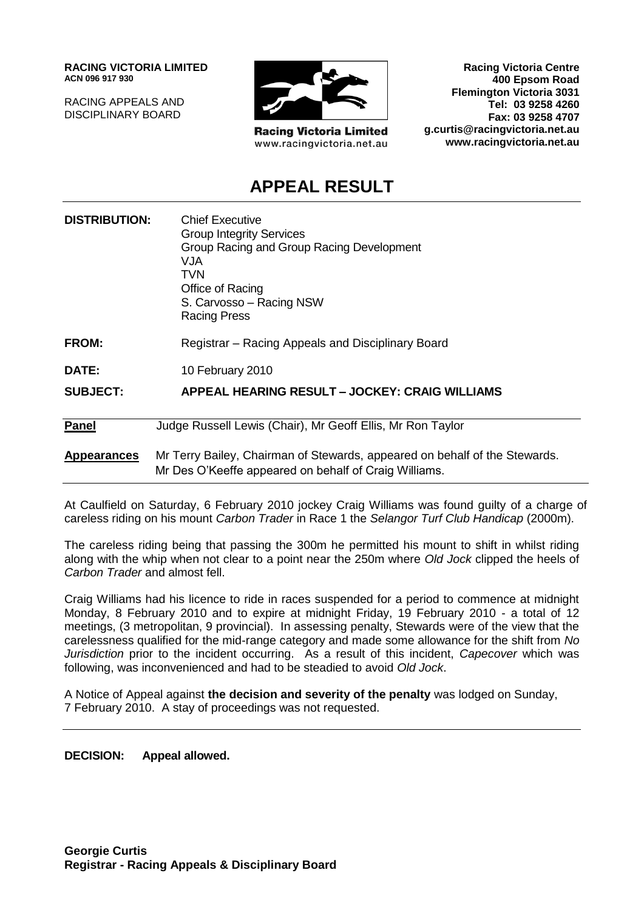**RACING VICTORIA LIMITED ACN 096 917 930**

RACING APPEALS AND DISCIPLINARY BOARD



**Racing Victoria Limited** www.racingvictoria.net.au

**Racing Victoria Centre 400 Epsom Road Flemington Victoria 3031 Tel: 03 9258 4260 Fax: 03 9258 4707 g.curtis@racingvictoria.net.au www.racingvictoria.net.au**

## **APPEAL RESULT**

| <b>DISTRIBUTION:</b> | <b>Chief Executive</b><br><b>Group Integrity Services</b><br>Group Racing and Group Racing Development<br>VJA.<br>TVN<br>Office of Racing<br>S. Carvosso - Racing NSW<br><b>Racing Press</b> |
|----------------------|----------------------------------------------------------------------------------------------------------------------------------------------------------------------------------------------|
| <b>FROM:</b>         | Registrar – Racing Appeals and Disciplinary Board                                                                                                                                            |
| <b>DATE:</b>         | 10 February 2010                                                                                                                                                                             |
| <b>SUBJECT:</b>      | APPEAL HEARING RESULT - JOCKEY: CRAIG WILLIAMS                                                                                                                                               |
| Panel                | Judge Russell Lewis (Chair), Mr Geoff Ellis, Mr Ron Taylor                                                                                                                                   |
| <b>Appearances</b>   | Mr Terry Bailey, Chairman of Stewards, appeared on behalf of the Stewards.<br>Mr Des O'Keeffe appeared on behalf of Craig Williams.                                                          |

At Caulfield on Saturday, 6 February 2010 jockey Craig Williams was found guilty of a charge of careless riding on his mount *Carbon Trader* in Race 1 the *Selangor Turf Club Handicap* (2000m).

The careless riding being that passing the 300m he permitted his mount to shift in whilst riding along with the whip when not clear to a point near the 250m where *Old Jock* clipped the heels of *Carbon Trader* and almost fell.

Craig Williams had his licence to ride in races suspended for a period to commence at midnight Monday, 8 February 2010 and to expire at midnight Friday, 19 February 2010 - a total of 12 meetings, (3 metropolitan, 9 provincial). In assessing penalty, Stewards were of the view that the carelessness qualified for the mid-range category and made some allowance for the shift from *No Jurisdiction* prior to the incident occurring. As a result of this incident, *Capecover* which was following, was inconvenienced and had to be steadied to avoid *Old Jock*.

A Notice of Appeal against **the decision and severity of the penalty** was lodged on Sunday, 7 February 2010. A stay of proceedings was not requested.

**DECISION: Appeal allowed.**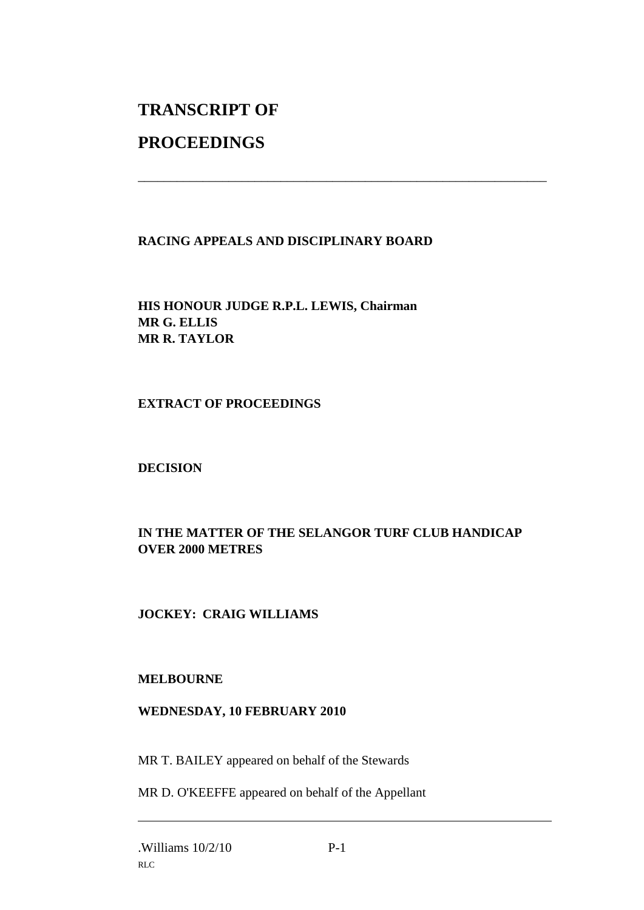# **TRANSCRIPT OF**

## **PROCEEDINGS**

#### **RACING APPEALS AND DISCIPLINARY BOARD**

\_\_\_\_\_\_\_\_\_\_\_\_\_\_\_\_\_\_\_\_\_\_\_\_\_\_\_\_\_\_\_\_\_\_\_\_\_\_\_\_\_\_\_\_\_\_\_\_\_\_\_\_\_\_\_\_\_\_\_\_\_\_\_

**HIS HONOUR JUDGE R.P.L. LEWIS, Chairman MR G. ELLIS MR R. TAYLOR**

#### **EXTRACT OF PROCEEDINGS**

### **DECISION**

### **IN THE MATTER OF THE SELANGOR TURF CLUB HANDICAP OVER 2000 METRES**

### **JOCKEY: CRAIG WILLIAMS**

#### **MELBOURNE**

#### **WEDNESDAY, 10 FEBRUARY 2010**

MR T. BAILEY appeared on behalf of the Stewards

MR D. O'KEEFFE appeared on behalf of the Appellant